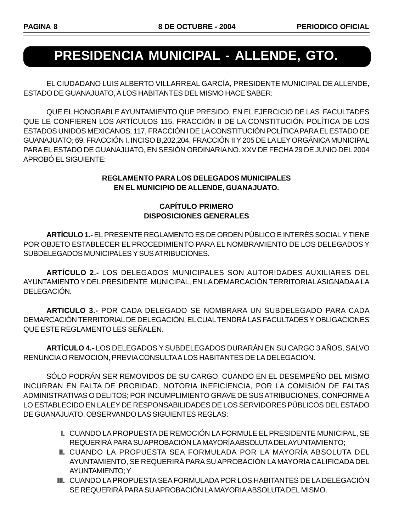# **PRESIDENCIA MUNICIPAL - ALLENDE, GTO.**

EL CIUDADANO LUIS ALBERTO VILLARREAL GARCÍA, PRESIDENTE MUNICIPAL DE ALLENDE, ESTADO DE GUANAJUATO, A LOS HABITANTES DEL MISMO HACE SABER:

QUE EL HONORABLE AYUNTAMIENTO QUE PRESIDO, EN EL EJERCICIO DE LAS FACULTADES QUE LE CONFIEREN LOS ARTÍCULOS 115, FRACCIÓN II DE LA CONSTITUCIÓN POLÍTICA DE LOS ESTADOS UNIDOS MEXICANOS; 117, FRACCIÓN I DE LA CONSTITUCIÓN POLÍTICA PARA EL ESTADO DE GUANAJUATO; 69, FRACCIÓN I, INCISO B,202,204, FRACCIÓN II Y 205 DE LA LEY ORGÁNICA MUNICIPAL PARA EL ESTADO DE GUANAJUATO, EN SESIÓN ORDINARIA NO. XXV DE FECHA 29 DE JUNIO DEL 2004 APROBÓ EL SIGUIENTE:

#### **REGLAMENTO PARA LOS DELEGADOS MUNICIPALES EN EL MUNICIPIO DE ALLENDE, GUANAJUATO.**

## **CAPÍTULO PRIMERO DISPOSICIONES GENERALES**

**ARTÍCULO 1.-** EL PRESENTE REGLAMENTO ES DE ORDEN PÚBLICO E INTERÉS SOCIAL Y TIENE POR OBJETO ESTABLECER EL PROCEDIMIENTO PARA EL NOMBRAMIENTO DE LOS DELEGADOS Y SUBDELEGADOS MUNICIPALES Y SUS ATRIBUCIONES.

**ARTÍCULO 2.-** LOS DELEGADOS MUNICIPALES SON AUTORIDADES AUXILIARES DEL AYUNTAMIENTO Y DEL PRESIDENTE MUNICIPAL, EN LA DEMARCACIÓN TERRITORIAL ASIGNADA A LA DELEGACIÓN.

**ARTICULO 3.-** POR CADA DELEGADO SE NOMBRARA UN SUBDELEGADO PARA CADA DEMARCACIÓN TERRITORIAL DE DELEGACIÓN, EL CUAL TENDRÁ LAS FACULTADES Y OBLIGACIONES QUE ESTE REGLAMENTO LES SEÑALEN.

**ARTÍCULO 4.-** LOS DELEGADOS Y SUBDELEGADOS DURARÁN EN SU CARGO 3 AÑOS, SALVO RENUNCIA O REMOCIÓN, PREVIA CONSULTA A LOS HABITANTES DE LA DELEGACIÓN.

SÓLO PODRÁN SER REMOVIDOS DE SU CARGO, CUANDO EN EL DESEMPEÑO DEL MISMO INCURRAN EN FALTA DE PROBIDAD, NOTORIA INEFICIENCIA, POR LA COMISIÓN DE FALTAS ADMINISTRATIVAS O DELITOS; POR INCUMPLIMIENTO GRAVE DE SUS ATRIBUCIONES, CONFORME A LO ESTABLECIDO EN LA LEY DE RESPONSABILIDADES DE LOS SERVIDORES PÚBLICOS DEL ESTADO DE GUANAJUATO, OBSERVANDO LAS SIGUIENTES REGLAS:

- **I.** CUANDO LA PROPUESTA DE REMOCIÓN LA FORMULE EL PRESIDENTE MUNICIPAL, SE REQUERIRÁ PARA SU APROBACIÓN LA MAYORÍA ABSOLUTA DEL AYUNTAMIENTO;
- **II.** CUANDO LA PROPUESTA SEA FORMULADA POR LA MAYORÍA ABSOLUTA DEL AYUNTAMIENTO, SE REQUERIRÁ PARA SU APROBACIÓN LA MAYORÍA CALIFICADA DEL AYUNTAMIENTO; Y
- **III.** CUANDO LA PROPUESTA SEA FORMULADA POR LOS HABITANTES DE LA DELEGACIÓN SE REQUERIRÁ PARA SU APROBACIÓN LA MAYORIA ABSOLUTA DEL MISMO.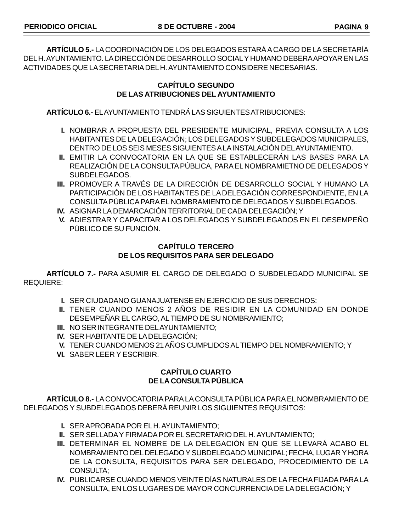**ARTÍCULO 5.-** LA COORDINACIÓN DE LOS DELEGADOS ESTARÁ A CARGO DE LA SECRETARÍA DEL H. AYUNTAMIENTO. LA DIRECCIÓN DE DESARROLLO SOCIAL Y HUMANO DEBERA APOYAR EN LAS ACTIVIDADES QUE LA SECRETARIA DEL H. AYUNTAMIENTO CONSIDERE NECESARIAS.

#### **CAPÍTULO SEGUNDO DE LAS ATRIBUCIONES DEL AYUNTAMIENTO**

**ARTÍCULO 6.-** EL AYUNTAMIENTO TENDRÁ LAS SIGUIENTES ATRIBUCIONES:

- **I.** NOMBRAR A PROPUESTA DEL PRESIDENTE MUNICIPAL, PREVIA CONSULTA A LOS HABITANTES DE LA DELEGACIÓN; LOS DELEGADOS Y SUBDELEGADOS MUNICIPALES, DENTRO DE LOS SEIS MESES SIGUIENTES A LA INSTALACIÓN DEL AYUNTAMIENTO.
- **II.** EMITIR LA CONVOCATORIA EN LA QUE SE ESTABLECERÁN LAS BASES PARA LA REALIZACIÓN DE LA CONSULTA PÚBLICA, PARA EL NOMBRAMIETNO DE DELEGADOS Y SUBDELEGADOS.
- **III.** PROMOVER A TRAVÉS DE LA DIRECCIÓN DE DESARROLLO SOCIAL Y HUMANO LA PARTICIPACIÓN DE LOS HABITANTES DE LA DELEGACIÓN CORRESPONDIENTE, EN LA CONSULTA PÚBLICA PARA EL NOMBRAMIENTO DE DELEGADOS Y SUBDELEGADOS.
- **IV.** ASIGNAR LA DEMARCACIÓN TERRITORIAL DE CADA DELEGACIÓN; Y
- **V.** ADIESTRAR Y CAPACITAR A LOS DELEGADOS Y SUBDELEGADOS EN EL DESEMPEÑO PÚBLICO DE SU FUNCIÓN.

#### **CAPÍTULO TERCERO DE LOS REQUISITOS PARA SER DELEGADO**

**ARTÍCULO 7.-** PARA ASUMIR EL CARGO DE DELEGADO O SUBDELEGADO MUNICIPAL SE REQUIERE:

- **I.** SER CIUDADANO GUANAJUATENSE EN EJERCICIO DE SUS DERECHOS:
- **II.** TENER CUANDO MENOS 2 AÑOS DE RESIDIR EN LA COMUNIDAD EN DONDE DESEMPEÑAR EL CARGO, AL TIEMPO DE SU NOMBRAMIENTO;
- **III.** NO SER INTEGRANTE DEL AYUNTAMIENTO;
- **IV.** SER HABITANTE DE LA DELEGACIÓN;
- **V.** TENER CUANDO MENOS 21 AÑOS CUMPLIDOS AL TIEMPO DEL NOMBRAMIENTO; Y
- **VI.** SABER LEER Y ESCRIBIR.

## **CAPÍTULO CUARTO DE LA CONSULTA PÚBLICA**

**ARTÍCULO 8.-** LA CONVOCATORIA PARA LA CONSULTA PÚBLICA PARA EL NOMBRAMIENTO DE DELEGADOS Y SUBDELEGADOS DEBERÁ REUNIR LOS SIGUIENTES REQUISITOS:

- **I.** SER APROBADA POR EL H. AYUNTAMIENTO;
- **II.** SER SELLADA Y FIRMADA POR EL SECRETARIO DEL H. AYUNTAMIENTO;
- **III.** DETERMINAR EL NOMBRE DE LA DELEGACIÓN EN QUE SE LLEVARÁ ACABO EL NOMBRAMIENTO DEL DELEGADO Y SUBDELEGADO MUNICIPAL; FECHA, LUGAR Y HORA DE LA CONSULTA, REQUISITOS PARA SER DELEGADO, PROCEDIMIENTO DE LA CONSULTA;
- **IV.** PUBLICARSE CUANDO MENOS VEINTE DÍAS NATURALES DE LA FECHA FIJADA PARA LA CONSULTA, EN LOS LUGARES DE MAYOR CONCURRENCIA DE LA DELEGACIÓN; Y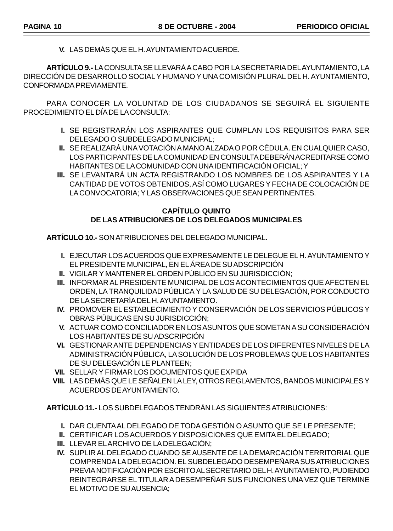**V.** LAS DEMÁS QUE EL H. AYUNTAMIENTO ACUERDE.

**ARTÍCULO 9.-** LA CONSULTA SE LLEVARÁ A CABO POR LA SECRETARIA DEL AYUNTAMIENTO, LA DIRECCIÓN DE DESARROLLO SOCIAL Y HUMANO Y UNA COMISIÓN PLURAL DEL H. AYUNTAMIENTO, CONFORMADA PREVIAMENTE.

PARA CONOCER LA VOLUNTAD DE LOS CIUDADANOS SE SEGUIRÁ EL SIGUIENTE PROCEDIMIENTO EL DÍA DE LA CONSULTA:

- **I.** SE REGISTRARÁN LOS ASPIRANTES QUE CUMPLAN LOS REQUISITOS PARA SER DELEGADO O SUBDELEGADO MUNICIPAL;
- **II.** SE REALIZARÁ UNA VOTACIÓN A MANO ALZADA O POR CÉDULA. EN CUALQUIER CASO, LOS PARTICIPANTES DE LA COMUNIDAD EN CONSULTA DEBERÁN ACREDITARSE COMO HABITANTES DE LA COMUNIDAD CON UNA IDENTIFICACIÓN OFICIAL; Y
- **III.** SE LEVANTARÁ UN ACTA REGISTRANDO LOS NOMBRES DE LOS ASPIRANTES Y LA CANTIDAD DE VOTOS OBTENIDOS, ASÍ COMO LUGARES Y FECHA DE COLOCACIÓN DE LA CONVOCATORIA; Y LAS OBSERVACIONES QUE SEAN PERTINENTES.

#### **CAPÍTULO QUINTO DE LAS ATRIBUCIONES DE LOS DELEGADOS MUNICIPALES**

**ARTÍCULO 10.-** SON ATRIBUCIONES DEL DELEGADO MUNICIPAL.

- **I.** EJECUTAR LOS ACUERDOS QUE EXPRESAMENTE LE DELEGUE EL H. AYUNTAMIENTO Y EL PRESIDENTE MUNICIPAL, EN EL ÁREA DE SU ADSCRIPCIÓN
- **II.** VIGILAR Y MANTENER EL ORDEN PÚBLICO EN SU JURISDICCIÓN;
- **III.** INFORMAR AL PRESIDENTE MUNICIPAL DE LOS ACONTECIMIENTOS QUE AFECTEN EL ORDEN, LA TRANQUILIDAD PÚBLICA Y LA SALUD DE SU DELEGACIÓN, POR CONDUCTO DE LA SECRETARÍA DEL H. AYUNTAMIENTO.
- **IV.** PROMOVER EL ESTABLECIMIENTO Y CONSERVACIÓN DE LOS SERVICIOS PÚBLICOS Y OBRAS PÚBLICAS EN SU JURISDICCIÓN;
- **V.** ACTUAR COMO CONCILIADOR EN LOS ASUNTOS QUE SOMETAN A SU CONSIDERACIÓN LOS HABITANTES DE SU ADSCRIPCIÓN
- **VI.** GESTIONAR ANTE DEPENDENCIAS Y ENTIDADES DE LOS DIFERENTES NIVELES DE LA ADMINISTRACIÓN PÚBLICA, LA SOLUCIÓN DE LOS PROBLEMAS QUE LOS HABITANTES DE SU DELEGACIÓN LE PLANTEEN;
- **VII.** SELLAR Y FIRMAR LOS DOCUMENTOS QUE EXPIDA
- **VIII.** LAS DEMÁS QUE LE SEÑALEN LA LEY, OTROS REGLAMENTOS, BANDOS MUNICIPALES Y ACUERDOS DE AYUNTAMIENTO.

**ARTÍCULO 11.-** LOS SUBDELEGADOS TENDRÁN LAS SIGUIENTES ATRIBUCIONES:

- **I.** DAR CUENTA AL DELEGADO DE TODA GESTIÓN O ASUNTO QUE SE LE PRESENTE;
- **II.** CERTIFICAR LOS ACUERDOS Y DISPOSICIONES QUE EMITA EL DELEGADO;
- **III.** LLEVAR EL ARCHIVO DE LA DELEGACIÓN;
- **IV.** SUPLIR AL DELEGADO CUANDO SE AUSENTE DE LA DEMARCACIÓN TERRITORIAL QUE COMPRENDA LA DELEGACIÓN. EL SUBDELEGADO DESEMPEÑARA SUS ATRIBUCIONES PREVIA NOTIFICACIÓN POR ESCRITO AL SECRETARIO DEL H. AYUNTAMIENTO, PUDIENDO REINTEGRARSE EL TITULAR A DESEMPEÑAR SUS FUNCIONES UNA VEZ QUE TERMINE EL MOTIVO DE SU AUSENCIA;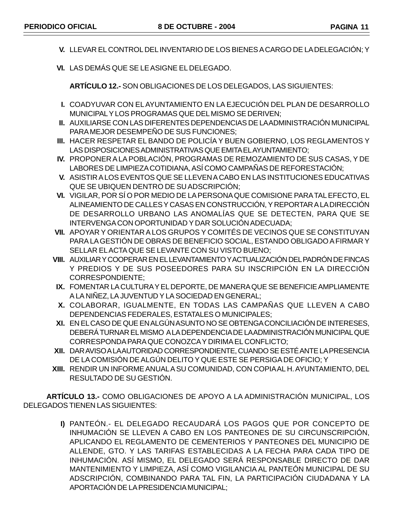- **V.** LLEVAR EL CONTROL DEL INVENTARIO DE LOS BIENES A CARGO DE LA DELEGACIÓN; Y
- **VI.** LAS DEMÁS QUE SE LE ASIGNE EL DELEGADO.

**ARTÍCULO 12.-** SON OBLIGACIONES DE LOS DELEGADOS, LAS SIGUIENTES:

- **I.** COADYUVAR CON EL AYUNTAMIENTO EN LA EJECUCIÓN DEL PLAN DE DESARROLLO MUNICIPAL Y LOS PROGRAMAS QUE DEL MISMO SE DERIVEN;
- **II.** AUXILIARSE CON LAS DIFERENTES DEPENDENCIAS DE LA ADMINISTRACIÓN MUNICIPAL PARA MEJOR DESEMPEÑO DE SUS FUNCIONES;
- **III.** HACER RESPETAR EL BANDO DE POLICÍA Y BUEN GOBIERNO, LOS REGLAMENTOS Y LAS DISPOSICIONES ADMINISTRATIVAS QUE EMITA EL AYUNTAMIENTO;
- **IV.** PROPONER A LA POBLACIÓN, PROGRAMAS DE REMOZAMIENTO DE SUS CASAS, Y DE LABORES DE LIMPIEZA COTIDIANA, ASÍ COMO CAMPAÑAS DE REFORESTACIÓN;
- **V.** ASISTIR A LOS EVENTOS QUE SE LLEVEN A CABO EN LAS INSTITUCIONES EDUCATIVAS QUE SE UBIQUEN DENTRO DE SU ADSCRIPCIÓN;
- **VI.** VIGILAR, POR SÍ O POR MEDIO DE LA PERSONA QUE COMISIONE PARA TAL EFECTO, EL ALINEAMIENTO DE CALLES Y CASAS EN CONSTRUCCIÓN, Y REPORTAR A LA DIRECCIÓN DE DESARROLLO URBANO LAS ANOMALÍAS QUE SE DETECTEN, PARA QUE SE INTERVENGA CON OPORTUNIDAD Y DAR SOLUCIÓN ADECUADA;
- **VII.** APOYAR Y ORIENTAR A LOS GRUPOS Y COMITÉS DE VECINOS QUE SE CONSTITUYAN PARA LA GESTIÓN DE OBRAS DE BENEFICIO SOCIAL, ESTANDO OBLIGADO A FIRMAR Y SELLAR EL ACTA QUE SE LEVANTE CON SU VISTO BUENO;
- **VIII.** AUXILIAR Y COOPERAR EN EL LEVANTAMIENTO Y ACTUALIZACIÓN DEL PADRÓN DE FINCAS Y PREDIOS Y DE SUS POSEEDORES PARA SU INSCRIPCIÓN EN LA DIRECCIÓN CORRESPONDIENTE;
- **IX.** FOMENTAR LA CULTURA Y EL DEPORTE, DE MANERA QUE SE BENEFICIE AMPLIAMENTE A LA NIÑEZ, LA JUVENTUD Y LA SOCIEDAD EN GENERAL;
- **X.** COLABORAR, IGUALMENTE, EN TODAS LAS CAMPAÑAS QUE LLEVEN A CABO DEPENDENCIAS FEDERALES, ESTATALES O MUNICIPALES;
- **XI.** EN EL CASO DE QUE EN ALGÚN ASUNTO NO SE OBTENGA CONCILIACIÓN DE INTERESES, DEBERÁ TURNAR EL MISMO A LA DEPENDENCIA DE LA ADMINISTRACIÓN MUNICIPAL QUE CORRESPONDA PARA QUE CONOZCA Y DIRIMA EL CONFLICTO;
- **XII.** DAR AVISO A LA AUTORIDAD CORRESPONDIENTE, CUANDO SE ESTÉ ANTE LA PRESENCIA DE LA COMISIÓN DE ALGÚN DELITO Y QUE ESTE SE PERSIGA DE OFICIO; Y
- **XIII.** RENDIR UN INFORME ANUAL A SU COMUNIDAD, CON COPIA AL H. AYUNTAMIENTO, DEL RESULTADO DE SU GESTIÓN.

**ARTÍCULO 13.-** COMO OBLIGACIONES DE APOYO A LA ADMINISTRACIÓN MUNICIPAL, LOS DELEGADOS TIENEN LAS SIGUIENTES:

> **I)** PANTEÓN.- EL DELEGADO RECAUDARÁ LOS PAGOS QUE POR CONCEPTO DE INHUMACIÓN SE LLEVEN A CABO EN LOS PANTEONES DE SU CIRCUNSCRIPCIÓN, APLICANDO EL REGLAMENTO DE CEMENTERIOS Y PANTEONES DEL MUNICIPIO DE ALLENDE, GTO. Y LAS TARIFAS ESTABLECIDAS A LA FECHA PARA CADA TIPO DE INHUMACIÓN. ASÍ MISMO, EL DELEGADO SERÁ RESPONSABLE DIRECTO DE DAR MANTENIMIENTO Y LIMPIEZA, ASÍ COMO VIGILANCIA AL PANTEÓN MUNICIPAL DE SU ADSCRIPCIÓN, COMBINANDO PARA TAL FIN, LA PARTICIPACIÓN CIUDADANA Y LA APORTACIÓN DE LA PRESIDENCIA MUNICIPAL;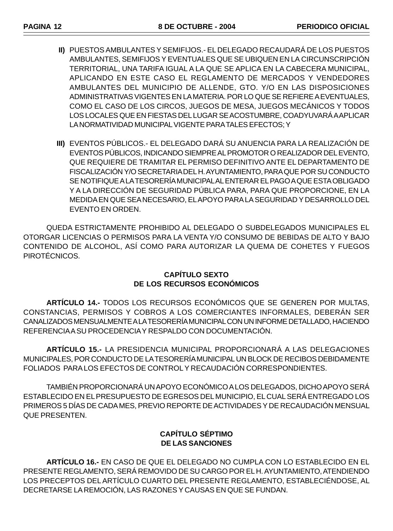- **II)** PUESTOS AMBULANTES Y SEMIFIJOS.- EL DELEGADO RECAUDARÁ DE LOS PUESTOS AMBULANTES, SEMIFIJOS Y EVENTUALES QUE SE UBIQUEN EN LA CIRCUNSCRIPCIÓN TERRITORIAL, UNA TARIFA IGUAL A LA QUE SE APLICA EN LA CABECERA MUNICIPAL, APLICANDO EN ESTE CASO EL REGLAMENTO DE MERCADOS Y VENDEDORES AMBULANTES DEL MUNICIPIO DE ALLENDE, GTO. Y/O EN LAS DISPOSICIONES ADMINISTRATIVAS VIGENTES EN LA MATERIA. POR LO QUE SE REFIERE A EVENTUALES, COMO EL CASO DE LOS CIRCOS, JUEGOS DE MESA, JUEGOS MECÁNICOS Y TODOS LOS LOCALES QUE EN FIESTAS DEL LUGAR SE ACOSTUMBRE, COADYUVARÁ A APLICAR LA NORMATIVIDAD MUNICIPAL VIGENTE PARA TALES EFECTOS; Y
- **III)** EVENTOS PÚBLICOS.- EL DELEGADO DARÁ SU ANUENCIA PARA LA REALIZACIÓN DE EVENTOS PÚBLICOS, INDICANDO SIEMPRE AL PROMOTOR O REALIZADOR DEL EVENTO, QUE REQUIERE DE TRAMITAR EL PERMISO DEFINITIVO ANTE EL DEPARTAMENTO DE FISCALIZACIÓN Y/O SECRETARIA DEL H. AYUNTAMIENTO, PARA QUE POR SU CONDUCTO SE NOTIFIQUE A LA TESORERÍA MUNICIPAL AL ENTERAR EL PAGO A QUE ESTA OBLIGADO Y A LA DIRECCIÓN DE SEGURIDAD PÚBLICA PARA, PARA QUE PROPORCIONE, EN LA MEDIDA EN QUE SEA NECESARIO, EL APOYO PARA LA SEGURIDAD Y DESARROLLO DEL EVENTO EN ORDEN.

QUEDA ESTRICTAMENTE PROHIBIDO AL DELEGADO O SUBDELEGADOS MUNICIPALES EL OTORGAR LICENCIAS O PERMISOS PARA LA VENTA Y/O CONSUMO DE BEBIDAS DE ALTO Y BAJO CONTENIDO DE ALCOHOL, ASÍ COMO PARA AUTORIZAR LA QUEMA DE COHETES Y FUEGOS PIROTÉCNICOS.

## **CAPÍTULO SEXTO DE LOS RECURSOS ECONÓMICOS**

**ARTÍCULO 14.-** TODOS LOS RECURSOS ECONÓMICOS QUE SE GENEREN POR MULTAS, CONSTANCIAS, PERMISOS Y COBROS A LOS COMERCIANTES INFORMALES, DEBERÁN SER CANALIZADOS MENSUALMENTE A LA TESORERÍA MUNICIPAL CON UN INFORME DETALLADO, HACIENDO REFERENCIA A SU PROCEDENCIA Y RESPALDO CON DOCUMENTACIÓN.

**ARTÍCULO 15.-** LA PRESIDENCIA MUNICIPAL PROPORCIONARÁ A LAS DELEGACIONES MUNICIPALES, POR CONDUCTO DE LA TESORERÍA MUNICIPAL UN BLOCK DE RECIBOS DEBIDAMENTE FOLIADOS PARA LOS EFECTOS DE CONTROL Y RECAUDACIÓN CORRESPONDIENTES.

TAMBIÉN PROPORCIONARÁ UN APOYO ECONÓMICO A LOS DELEGADOS, DICHO APOYO SERÁ ESTABLECIDO EN EL PRESUPUESTO DE EGRESOS DEL MUNICIPIO, EL CUAL SERÁ ENTREGADO LOS PRIMEROS 5 DÍAS DE CADA MES, PREVIO REPORTE DE ACTIVIDADES Y DE RECAUDACIÓN MENSUAL QUE PRESENTEN.

## **CAPÍTULO SÉPTIMO DE LAS SANCIONES**

**ARTÍCULO 16.-** EN CASO DE QUE EL DELEGADO NO CUMPLA CON LO ESTABLECIDO EN EL PRESENTE REGLAMENTO, SERÁ REMOVIDO DE SU CARGO POR EL H. AYUNTAMIENTO, ATENDIENDO LOS PRECEPTOS DEL ARTÍCULO CUARTO DEL PRESENTE REGLAMENTO, ESTABLECIÉNDOSE, AL DECRETARSE LA REMOCIÓN, LAS RAZONES Y CAUSAS EN QUE SE FUNDAN.